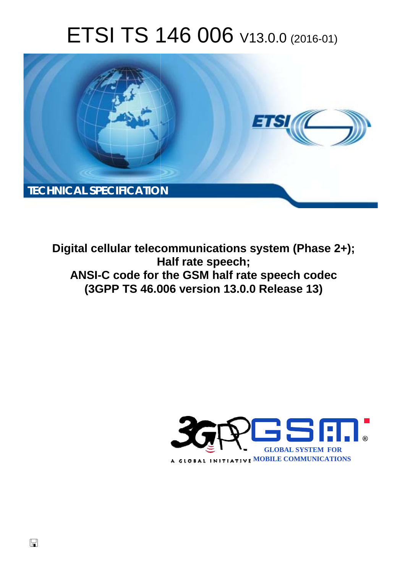# ETSI TS 146 006 V13.0.0 (2016-01)



**Digital cellular telecommunications system (Phase 2+); H Half rate speech; ANSI-C code for the GSM half rate speech co codec (3GPP TS 46.0 .006 version 13.0.0 Release 13 13)** 

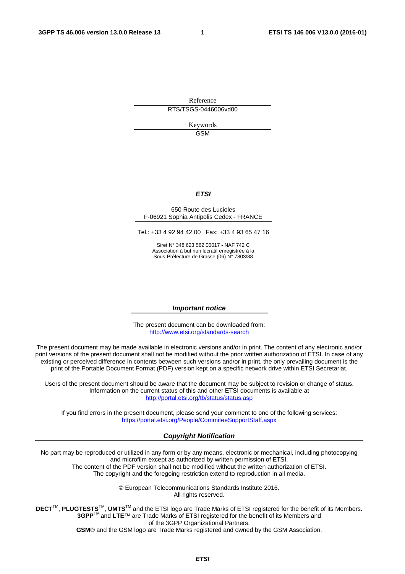Reference RTS/TSGS-0446006vd00

> Keywords **GSM**

#### *ETSI*

#### 650 Route des Lucioles F-06921 Sophia Antipolis Cedex - FRANCE

Tel.: +33 4 92 94 42 00 Fax: +33 4 93 65 47 16

Siret N° 348 623 562 00017 - NAF 742 C Association à but non lucratif enregistrée à la Sous-Préfecture de Grasse (06) N° 7803/88

#### *Important notice*

The present document can be downloaded from: <http://www.etsi.org/standards-search>

The present document may be made available in electronic versions and/or in print. The content of any electronic and/or print versions of the present document shall not be modified without the prior written authorization of ETSI. In case of any existing or perceived difference in contents between such versions and/or in print, the only prevailing document is the print of the Portable Document Format (PDF) version kept on a specific network drive within ETSI Secretariat.

Users of the present document should be aware that the document may be subject to revision or change of status. Information on the current status of this and other ETSI documents is available at <http://portal.etsi.org/tb/status/status.asp>

If you find errors in the present document, please send your comment to one of the following services: <https://portal.etsi.org/People/CommiteeSupportStaff.aspx>

#### *Copyright Notification*

No part may be reproduced or utilized in any form or by any means, electronic or mechanical, including photocopying and microfilm except as authorized by written permission of ETSI.

The content of the PDF version shall not be modified without the written authorization of ETSI. The copyright and the foregoing restriction extend to reproduction in all media.

> © European Telecommunications Standards Institute 2016. All rights reserved.

**DECT**TM, **PLUGTESTS**TM, **UMTS**TM and the ETSI logo are Trade Marks of ETSI registered for the benefit of its Members. **3GPP**TM and **LTE**™ are Trade Marks of ETSI registered for the benefit of its Members and of the 3GPP Organizational Partners.

**GSM**® and the GSM logo are Trade Marks registered and owned by the GSM Association.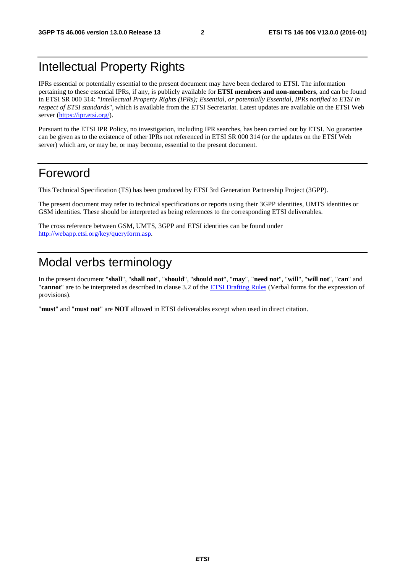### Intellectual Property Rights

IPRs essential or potentially essential to the present document may have been declared to ETSI. The information pertaining to these essential IPRs, if any, is publicly available for **ETSI members and non-members**, and can be found in ETSI SR 000 314: *"Intellectual Property Rights (IPRs); Essential, or potentially Essential, IPRs notified to ETSI in respect of ETSI standards"*, which is available from the ETSI Secretariat. Latest updates are available on the ETSI Web server ([https://ipr.etsi.org/\)](https://ipr.etsi.org/).

Pursuant to the ETSI IPR Policy, no investigation, including IPR searches, has been carried out by ETSI. No guarantee can be given as to the existence of other IPRs not referenced in ETSI SR 000 314 (or the updates on the ETSI Web server) which are, or may be, or may become, essential to the present document.

#### Foreword

This Technical Specification (TS) has been produced by ETSI 3rd Generation Partnership Project (3GPP).

The present document may refer to technical specifications or reports using their 3GPP identities, UMTS identities or GSM identities. These should be interpreted as being references to the corresponding ETSI deliverables.

The cross reference between GSM, UMTS, 3GPP and ETSI identities can be found under [http://webapp.etsi.org/key/queryform.asp.](http://webapp.etsi.org/key/queryform.asp)

### Modal verbs terminology

In the present document "**shall**", "**shall not**", "**should**", "**should not**", "**may**", "**need not**", "**will**", "**will not**", "**can**" and "**cannot**" are to be interpreted as described in clause 3.2 of the [ETSI Drafting Rules](http://portal.etsi.org/Help/editHelp!/Howtostart/ETSIDraftingRules.aspx) (Verbal forms for the expression of provisions).

"**must**" and "**must not**" are **NOT** allowed in ETSI deliverables except when used in direct citation.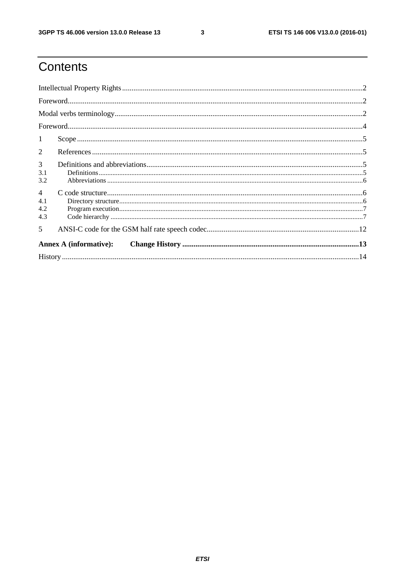$\mathbf{3}$ 

# Contents

| 1                                   |  |  |  |  |  |
|-------------------------------------|--|--|--|--|--|
| 2                                   |  |  |  |  |  |
| 3<br>3.1<br>3.2                     |  |  |  |  |  |
| $\overline{4}$<br>4.1<br>4.2<br>4.3 |  |  |  |  |  |
| $\overline{\mathbf{5}}$             |  |  |  |  |  |
| <b>Annex A (informative):</b>       |  |  |  |  |  |
|                                     |  |  |  |  |  |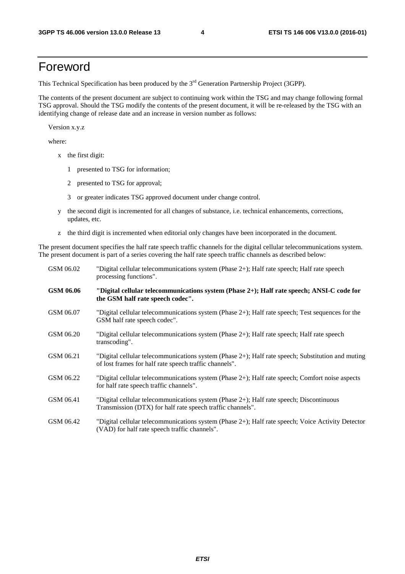#### Foreword

This Technical Specification has been produced by the 3<sup>rd</sup> Generation Partnership Project (3GPP).

The contents of the present document are subject to continuing work within the TSG and may change following formal TSG approval. Should the TSG modify the contents of the present document, it will be re-released by the TSG with an identifying change of release date and an increase in version number as follows:

Version x.y.z

where:

- x the first digit:
	- 1 presented to TSG for information;
	- 2 presented to TSG for approval;
	- 3 or greater indicates TSG approved document under change control.
- y the second digit is incremented for all changes of substance, i.e. technical enhancements, corrections, updates, etc.
- z the third digit is incremented when editorial only changes have been incorporated in the document.

The present document specifies the half rate speech traffic channels for the digital cellular telecommunications system. The present document is part of a series covering the half rate speech traffic channels as described below:

| GSM 06.02 | "Digital cellular telecommunications system (Phase 2+); Half rate speech; Half rate speech<br>processing functions".                                        |
|-----------|-------------------------------------------------------------------------------------------------------------------------------------------------------------|
| GSM 06.06 | "Digital cellular telecommunications system (Phase 2+); Half rate speech; ANSI-C code for<br>the GSM half rate speech codec".                               |
| GSM 06.07 | "Digital cellular telecommunications system (Phase 2+); Half rate speech; Test sequences for the<br>GSM half rate speech codec".                            |
| GSM 06.20 | "Digital cellular telecommunications system (Phase 2+); Half rate speech; Half rate speech<br>transcoding".                                                 |
| GSM 06.21 | "Digital cellular telecommunications system (Phase 2+); Half rate speech; Substitution and muting<br>of lost frames for half rate speech traffic channels". |
| GSM 06.22 | "Digital cellular telecommunications system (Phase 2+); Half rate speech; Comfort noise aspects<br>for half rate speech traffic channels".                  |
| GSM 06.41 | "Digital cellular telecommunications system (Phase 2+); Half rate speech; Discontinuous<br>Transmission (DTX) for half rate speech traffic channels".       |
| GSM 06.42 | "Digital cellular telecommunications system (Phase 2+); Half rate speech; Voice Activity Detector<br>(VAD) for half rate speech traffic channels".          |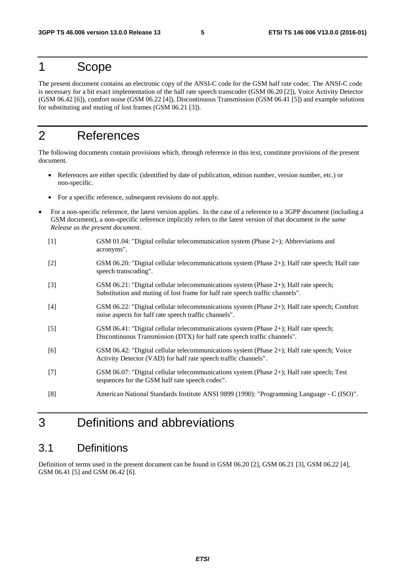#### 1 Scope

The present document contains an electronic copy of the ANSI-C code for the GSM half rate codec. The ANSI-C code is necessary for a bit exact implementation of the half rate speech transcoder (GSM 06.20 [2]), Voice Activity Detector (GSM 06.42 [6]), comfort noise (GSM 06.22 [4]), Discontinuous Transmission (GSM 06.41 [5]) and example solutions for substituting and muting of lost frames (GSM 06.21 [3]).

#### 2 References

The following documents contain provisions which, through reference in this text, constitute provisions of the present document.

- References are either specific (identified by date of publication, edition number, version number, etc.) or non-specific.
- For a specific reference, subsequent revisions do not apply.
- For a non-specific reference, the latest version applies. In the case of a reference to a 3GPP document (including a GSM document), a non-specific reference implicitly refers to the latest version of that document *in the same Release as the present document*.
	- [1] GSM 01.04: "Digital cellular telecommunication system (Phase 2+); Abbreviations and acronyms".
	- [2] GSM 06.20: "Digital cellular telecommunications system (Phase 2+); Half rate speech; Half rate speech transcoding".
	- [3] GSM 06.21: "Digital cellular telecommunications system (Phase 2+); Half rate speech; Substitution and muting of lost frame for half rate speech traffic channels".
	- [4] GSM 06.22: "Digital cellular telecommunications system (Phase 2+); Half rate speech; Comfort noise aspects for half rate speech traffic channels".
	- [5] GSM 06.41: "Digital cellular telecommunications system (Phase 2+); Half rate speech; Discontinuous Transmission (DTX) for half rate speech traffic channels".
	- [6] GSM 06.42: "Digital cellular telecommunications system (Phase 2+); Half rate speech; Voice Activity Detector (VAD) for half rate speech traffic channels".
	- [7] GSM 06.07: "Digital cellular telecommunications system (Phase 2+); Half rate speech; Test sequences for the GSM half rate speech codec".
	- [8] American National Standards Institute ANSI 9899 (1990): "Programming Language C (ISO)".

### 3 Definitions and abbreviations

#### 3.1 Definitions

Definition of terms used in the present document can be found in GSM 06.20 [2], GSM 06.21 [3], GSM 06.22 [4], GSM 06.41 [5] and GSM 06.42 [6].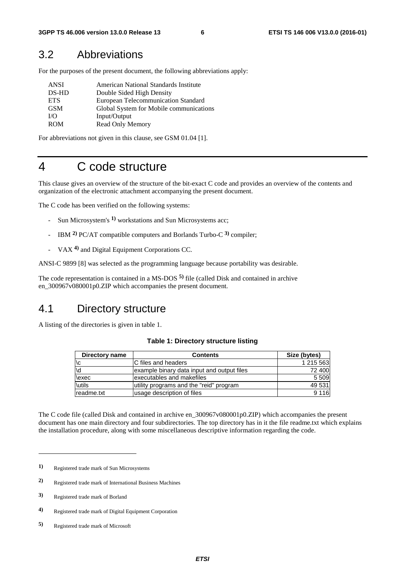#### 3.2 Abbreviations

For the purposes of the present document, the following abbreviations apply:

| <b>ANSI</b> | American National Standards Institute   |
|-------------|-----------------------------------------|
| DS-HD       | Double Sided High Density               |
| <b>ETS</b>  | European Telecommunication Standard     |
| <b>GSM</b>  | Global System for Mobile communications |
| $U$ O       | Input/Output                            |
| <b>ROM</b>  | Read Only Memory                        |

For abbreviations not given in this clause, see GSM 01.04 [1].

### 4 C code structure

This clause gives an overview of the structure of the bit-exact C code and provides an overview of the contents and organization of the electronic attachment accompanying the present document.

The C code has been verified on the following systems:

- Sun Microsystem's <sup>1)</sup> workstations and Sun Microsystems acc;
- IBM **2)** PC/AT compatible computers and Borlands Turbo-C **3)** compiler;
- VAX **4)** and Digital Equipment Corporations CC.

ANSI-C 9899 [8] was selected as the programming language because portability was desirable.

The code representation is contained in a MS-DOS **5)** file (called Disk and contained in archive en\_300967v080001p0.ZIP which accompanies the present document.

#### 4.1 Directory structure

A listing of the directories is given in table 1.

#### **Table 1: Directory structure listing**

| Directory name | <b>Contents</b>                            | Size (bytes) |
|----------------|--------------------------------------------|--------------|
| \c             | C files and headers                        | 1 215 563    |
| \d             | example binary data input and output files | 72 400       |
| \exec          | lexecutables and makefiles                 | 5 5 0 9      |
| <b>\utils</b>  | utility programs and the "reid" program    | 49 531       |
| readme.txt     | usage description of files                 | 9 1 1 6      |

The C code file (called Disk and contained in archive en\_300967v080001p0.ZIP) which accompanies the present document has one main directory and four subdirectories. The top directory has in it the file readme.txt which explains the installation procedure, along with some miscellaneous descriptive information regarding the code.

-

**<sup>1)</sup>** Registered trade mark of Sun Microsystems

**<sup>2)</sup>** Registered trade mark of International Business Machines

**<sup>3)</sup>** Registered trade mark of Borland

**<sup>4)</sup>** Registered trade mark of Digital Equipment Corporation

**<sup>5)</sup>** Registered trade mark of Microsoft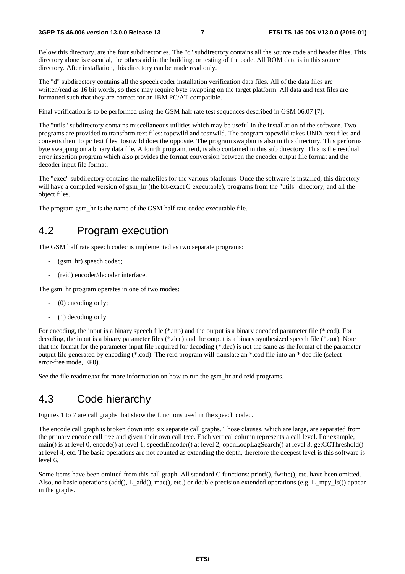Below this directory, are the four subdirectories. The "c" subdirectory contains all the source code and header files. This directory alone is essential, the others aid in the building, or testing of the code. All ROM data is in this source directory. After installation, this directory can be made read only.

The "d" subdirectory contains all the speech coder installation verification data files. All of the data files are written/read as 16 bit words, so these may require byte swapping on the target platform. All data and text files are formatted such that they are correct for an IBM PC/AT compatible.

Final verification is to be performed using the GSM half rate test sequences described in GSM 06.07 [7].

The "utils" subdirectory contains miscellaneous utilities which may be useful in the installation of the software. Two programs are provided to transform text files: topcwild and tosnwild. The program topcwild takes UNIX text files and converts them to pc text files. tosnwild does the opposite. The program swapbin is also in this directory. This performs byte swapping on a binary data file. A fourth program, reid, is also contained in this sub directory. This is the residual error insertion program which also provides the format conversion between the encoder output file format and the decoder input file format.

The "exec" subdirectory contains the makefiles for the various platforms. Once the software is installed, this directory will have a compiled version of gsm\_hr (the bit-exact C executable), programs from the "utils" directory, and all the object files.

The program gsm hr is the name of the GSM half rate codec executable file.

#### 4.2 Program execution

The GSM half rate speech codec is implemented as two separate programs:

- (gsm\_hr) speech codec;
- (reid) encoder/decoder interface.

The gsm hr program operates in one of two modes:

- $(0)$  encoding only;
- (1) decoding only.

For encoding, the input is a binary speech file (\*.inp) and the output is a binary encoded parameter file (\*.cod). For decoding, the input is a binary parameter files (\*.dec) and the output is a binary synthesized speech file (\*.out). Note that the format for the parameter input file required for decoding  $(*.$  dec) is not the same as the format of the parameter output file generated by encoding (\*.cod). The reid program will translate an \*.cod file into an \*.dec file (select error-free mode, EP0).

See the file readme.txt for more information on how to run the gsm\_hr and reid programs.

#### 4.3 Code hierarchy

Figures 1 to 7 are call graphs that show the functions used in the speech codec.

The encode call graph is broken down into six separate call graphs. Those clauses, which are large, are separated from the primary encode call tree and given their own call tree. Each vertical column represents a call level. For example, main() is at level 0, encode() at level 1, speechEncoder() at level 2, openLoopLagSearch() at level 3, getCCThreshold() at level 4, etc. The basic operations are not counted as extending the depth, therefore the deepest level is this software is level 6.

Some items have been omitted from this call graph. All standard C functions: printf(), fwrite(), etc. have been omitted. Also, no basic operations (add(), L\_add(), mac(), etc.) or double precision extended operations (e.g. L\_mpy\_ls()) appear in the graphs.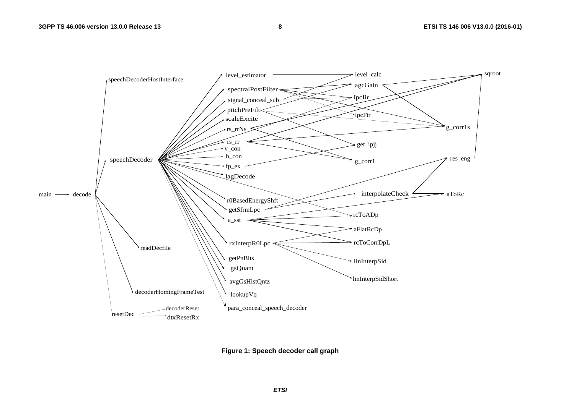

**Figure 1: Speech decoder call graph**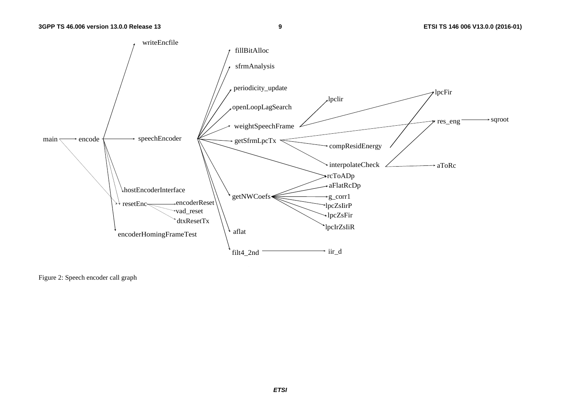

Figure 2: Speech encoder call graph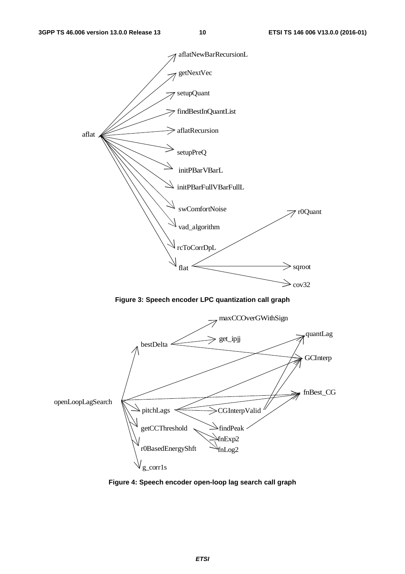



fnExp2 fnLog2

r0BasedEnergyShft

g\_corr1s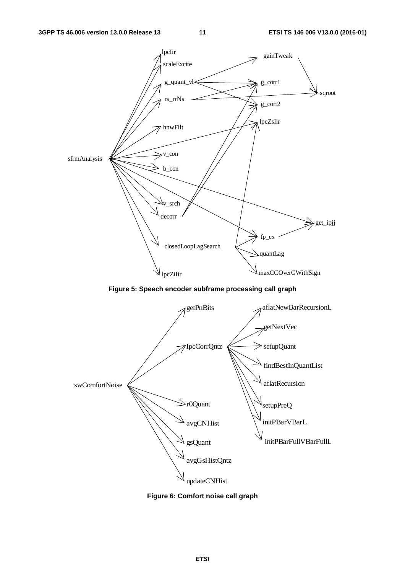

**Figure 6: Comfort noise call graph**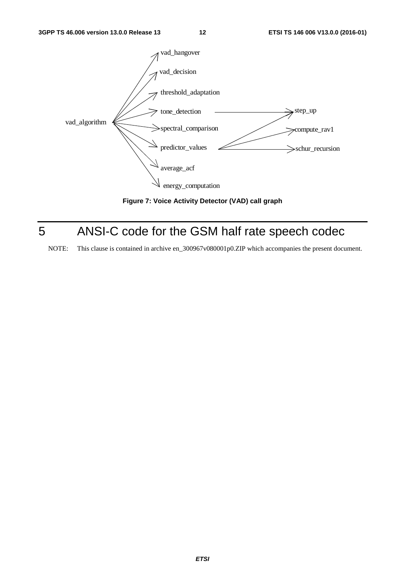

**Figure 7: Voice Activity Detector (VAD) call graph** 

## 5 ANSI-C code for the GSM half rate speech codec

NOTE: This clause is contained in archive en\_300967v080001p0.ZIP which accompanies the present document.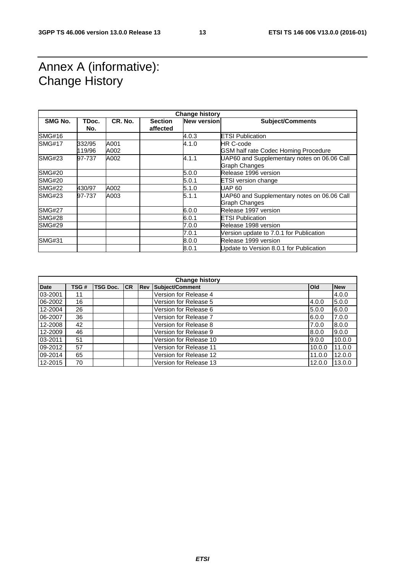### Annex A (informative): Change History

| <b>Change history</b> |              |         |                            |                    |                                             |
|-----------------------|--------------|---------|----------------------------|--------------------|---------------------------------------------|
| <b>SMG No.</b>        | TDoc.<br>No. | CR. No. | <b>Section</b><br>affected | <b>New version</b> | <b>Subject/Comments</b>                     |
| <b>SMG#16</b>         |              |         |                            | 4.0.3              | <b>ETSI Publication</b>                     |
| <b>SMG#17</b>         | 332/95       | A001    |                            | 4.1.0              | <b>HR C-code</b>                            |
|                       | 119/96       | A002    |                            |                    | <b>GSM half rate Codec Homing Procedure</b> |
| <b>SMG#23</b>         | 97-737       | A002    |                            | 4.1.1              | UAP60 and Supplementary notes on 06.06 Call |
|                       |              |         |                            |                    | <b>Graph Changes</b>                        |
| <b>SMG#20</b>         |              |         |                            | 5.0.0              | Release 1996 version                        |
| <b>SMG#20</b>         |              |         |                            | 5.0.1              | <b>ETSI</b> version change                  |
| <b>SMG#22</b>         | 430/97       | A002    |                            | 5.1.0              | <b>UAP 60</b>                               |
| SMG#23                | 97-737       | A003    |                            | 5.1.1              | UAP60 and Supplementary notes on 06.06 Call |
|                       |              |         |                            |                    | Graph Changes                               |
| <b>SMG#27</b>         |              |         |                            | 6.0.0              | Release 1997 version                        |
| <b>SMG#28</b>         |              |         |                            | 6.0.1              | <b>ETSI Publication</b>                     |
| <b>SMG#29</b>         |              |         |                            | 7.0.0              | Release 1998 version                        |
|                       |              |         |                            | 7.0.1              | Version update to 7.0.1 for Publication     |
| <b>SMG#31</b>         |              |         |                            | 8.0.0              | Release 1999 version                        |
|                       |              |         |                            | 8.0.1              | Update to Version 8.0.1 for Publication     |

| <b>Change history</b> |      |                 |    |              |                        |            |            |
|-----------------------|------|-----------------|----|--------------|------------------------|------------|------------|
| <b>Date</b>           | TSG# | <b>TSG Doc.</b> | CR | <b>I</b> Rev | <b>Subject/Comment</b> | <b>Old</b> | <b>New</b> |
| 03-2001               | 11   |                 |    |              | Version for Release 4  |            | 4.0.0      |
| 06-2002               | 16   |                 |    |              | Version for Release 5  | 4.0.0      | 5.0.0      |
| 12-2004               | 26   |                 |    |              | Version for Release 6  | 5.0.0      | 6.0.0      |
| 06-2007               | 36   |                 |    |              | Version for Release 7  | 6.0.0      | 7.0.0      |
| 12-2008               | 42   |                 |    |              | Version for Release 8  | 7.0.0      | 8.0.0      |
| 12-2009               | 46   |                 |    |              | Version for Release 9  | 8.0.0      | 9.0.0      |
| 03-2011               | 51   |                 |    |              | Version for Release 10 | 9.0.0      | 10.0.0     |
| 09-2012               | 57   |                 |    |              | Version for Release 11 | 10.0.0     | 11.0.0     |
| 09-2014               | 65   |                 |    |              | Version for Release 12 | 11.0.0     | 12.0.0     |
| 12-2015               | 70   |                 |    |              | Version for Release 13 | 12.0.0     | 13.0.0     |